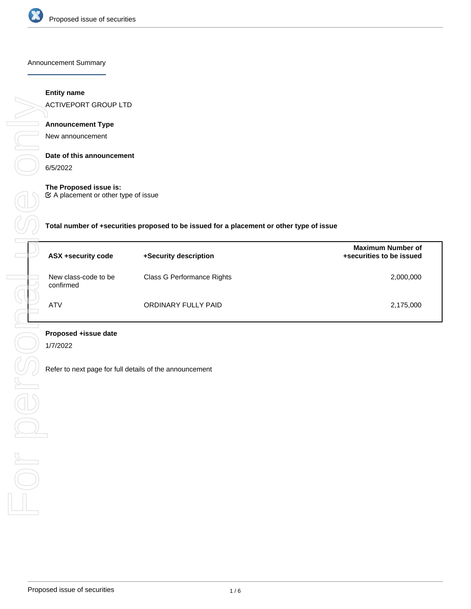

Announcement Summary

# **Entity name**

ACTIVEPORT GROUP LTD

# **Announcement Type**

New announcement

# **Date of this announcement**

6/5/2022

# **The Proposed issue is:**

A placement or other type of issue

**Total number of +securities proposed to be issued for a placement or other type of issue**

| ASX +security code                | +Security description      | <b>Maximum Number of</b><br>+securities to be issued |
|-----------------------------------|----------------------------|------------------------------------------------------|
| New class-code to be<br>confirmed | Class G Performance Rights | 2,000,000                                            |
| ATV                               | ORDINARY FULLY PAID        | 2,175,000                                            |

# **Proposed +issue date**

1/7/2022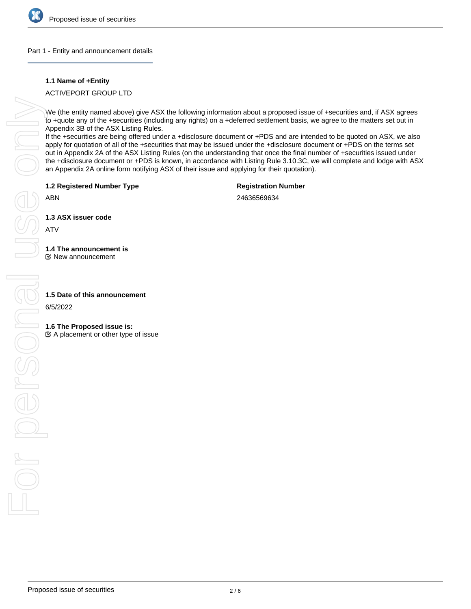

#### Part 1 - Entity and announcement details

## **1.1 Name of +Entity**

ACTIVEPORT GROUP LTD

We (the entity named above) give ASX the following information about a proposed issue of +securities and, if ASX agrees to +quote any of the +securities (including any rights) on a +deferred settlement basis, we agree to the matters set out in Appendix 3B of the ASX Listing Rules.

If the +securities are being offered under a +disclosure document or +PDS and are intended to be quoted on ASX, we also apply for quotation of all of the +securities that may be issued under the +disclosure document or +PDS on the terms set out in Appendix 2A of the ASX Listing Rules (on the understanding that once the final number of +securities issued under the +disclosure document or +PDS is known, in accordance with Listing Rule 3.10.3C, we will complete and lodge with ASX an Appendix 2A online form notifying ASX of their issue and applying for their quotation).

**1.2 Registered Number Type**

**Registration Number**

ABN

24636569634

**1.3 ASX issuer code**

ATV

# **1.4 The announcement is**

New announcement

6/5/2022

# **1.6 The Proposed issue is:**

 $\mathfrak{C}$  A placement or other type of issue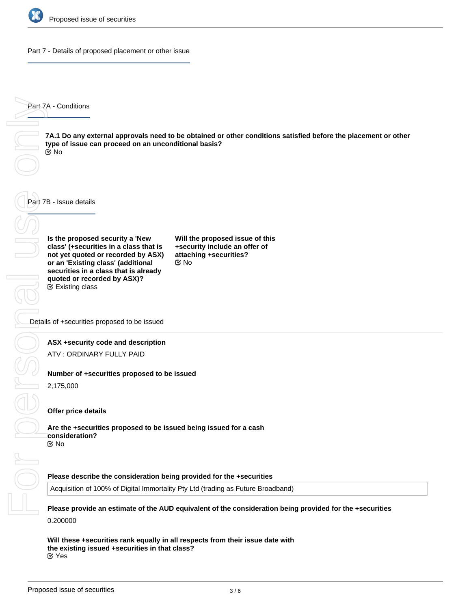

Part 7 - Details of proposed placement or other issue

Part 7A - Conditions

**7A.1 Do any external approvals need to be obtained or other conditions satisfied before the placement or other type of issue can proceed on an unconditional basis?** No

Part 7B - Issue details

**Is the proposed security a 'New class' (+securities in a class that is not yet quoted or recorded by ASX) or an 'Existing class' (additional securities in a class that is already quoted or recorded by ASX)?** Existing class

**Will the proposed issue of this +security include an offer of attaching +securities?** No

Details of +securities proposed to be issued

#### **ASX +security code and description**

ATV : ORDINARY FULLY PAID

#### **Number of +securities proposed to be issued**

2,175,000

## **Offer price details**

**Are the +securities proposed to be issued being issued for a cash consideration?** No

#### **Please describe the consideration being provided for the +securities**

Acquisition of 100% of Digital Immortality Pty Ltd (trading as Future Broadband)

**Please provide an estimate of the AUD equivalent of the consideration being provided for the +securities** 0.200000

**Will these +securities rank equally in all respects from their issue date with the existing issued +securities in that class?** Yes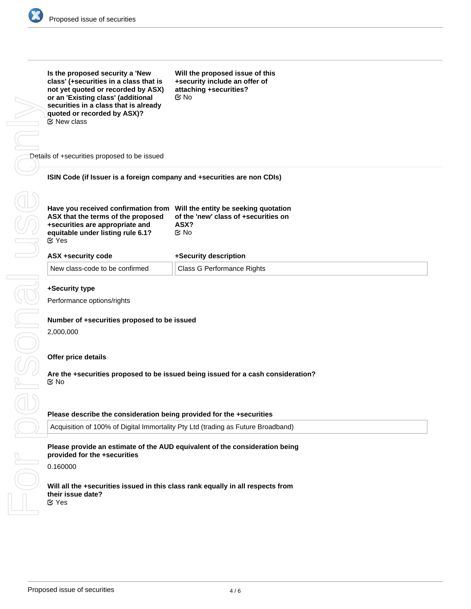

|                                              | Is the proposed security a 'New<br>class' (+securities in a class that is<br>not yet quoted or recorded by ASX)<br>or an 'Existing class' (additional<br>securities in a class that is already<br>quoted or recorded by ASX)?<br><b>Ø</b> New class | Will the proposed issue of this<br>+security include an offer of<br>attaching +securities?<br>$\mathfrak{C}$ No |
|----------------------------------------------|-----------------------------------------------------------------------------------------------------------------------------------------------------------------------------------------------------------------------------------------------------|-----------------------------------------------------------------------------------------------------------------|
|                                              | Details of +securities proposed to be issued                                                                                                                                                                                                        |                                                                                                                 |
|                                              | ISIN Code (if Issuer is a foreign company and +securities are non CDIs)                                                                                                                                                                             |                                                                                                                 |
|                                              | Have you received confirmation from Will the entity be seeking quotation<br>ASX that the terms of the proposed<br>+securities are appropriate and<br>equitable under listing rule 6.1?<br><b>⊘</b> Yes                                              | of the 'new' class of +securities on<br>ASX?<br>$\mathfrak{C}$ No                                               |
|                                              | ASX +security code                                                                                                                                                                                                                                  | +Security description                                                                                           |
|                                              | New class-code to be confirmed                                                                                                                                                                                                                      | <b>Class G Performance Rights</b>                                                                               |
| +Security type<br>Performance options/rights |                                                                                                                                                                                                                                                     |                                                                                                                 |
|                                              | Number of +securities proposed to be issued<br>2,000,000                                                                                                                                                                                            |                                                                                                                 |
|                                              | Offer price details<br>$\mathfrak{C}$ No                                                                                                                                                                                                            | Are the +securities proposed to be issued being issued for a cash consideration?                                |
|                                              | Please describe the consideration being provided for the +securities                                                                                                                                                                                |                                                                                                                 |
|                                              | Acquisition of 100% of Digital Immortality Pty Ltd (trading as Future Broadband)                                                                                                                                                                    |                                                                                                                 |
|                                              | provided for the +securities                                                                                                                                                                                                                        | Please provide an estimate of the AUD equivalent of the consideration being                                     |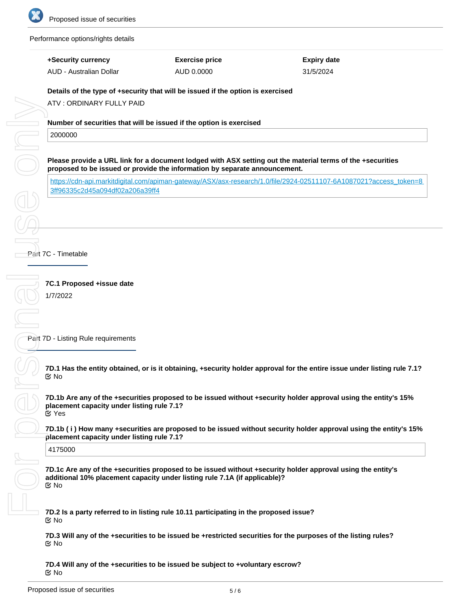

Performance options/rights details

# **+Security currency**

AUD - Australian Dollar

**Exercise price** AUD 0.0000

**Expiry date** 31/5/2024

# **Details of the type of +security that will be issued if the option is exercised**

ATV : ORDINARY FULLY PAID

# **Number of securities that will be issued if the option is exercised**

2000000

**Please provide a URL link for a document lodged with ASX setting out the material terms of the +securities proposed to be issued or provide the information by separate announcement.**

[https://cdn-api.markitdigital.com/apiman-gateway/ASX/asx-research/1.0/file/2924-02511107-6A1087021?access\\_token=8](https://cdn-api.markitdigital.com/apiman-gateway/ASX/asx-research/1.0/file/2924-02511107-6A1087021?access_token=83ff96335c2d45a094df02a206a39ff4) [3ff96335c2d45a094df02a206a39ff4](https://cdn-api.markitdigital.com/apiman-gateway/ASX/asx-research/1.0/file/2924-02511107-6A1087021?access_token=83ff96335c2d45a094df02a206a39ff4)

Part 7C - Timetable

**7C.1 Proposed +issue date**

1/7/2022

Part 7D - Listing Rule requirements

**7D.1 Has the entity obtained, or is it obtaining, +security holder approval for the entire issue under listing rule 7.1?** No

**7D.1b Are any of the +securities proposed to be issued without +security holder approval using the entity's 15% placement capacity under listing rule 7.1?** Yes

**7D.1b ( i ) How many +securities are proposed to be issued without security holder approval using the entity's 15% placement capacity under listing rule 7.1?**

4175000

**7D.1c Are any of the +securities proposed to be issued without +security holder approval using the entity's additional 10% placement capacity under listing rule 7.1A (if applicable)?** No

**7D.2 Is a party referred to in listing rule 10.11 participating in the proposed issue?** No

**7D.3 Will any of the +securities to be issued be +restricted securities for the purposes of the listing rules? ⊠**No

**7D.4 Will any of the +securities to be issued be subject to +voluntary escrow?** No